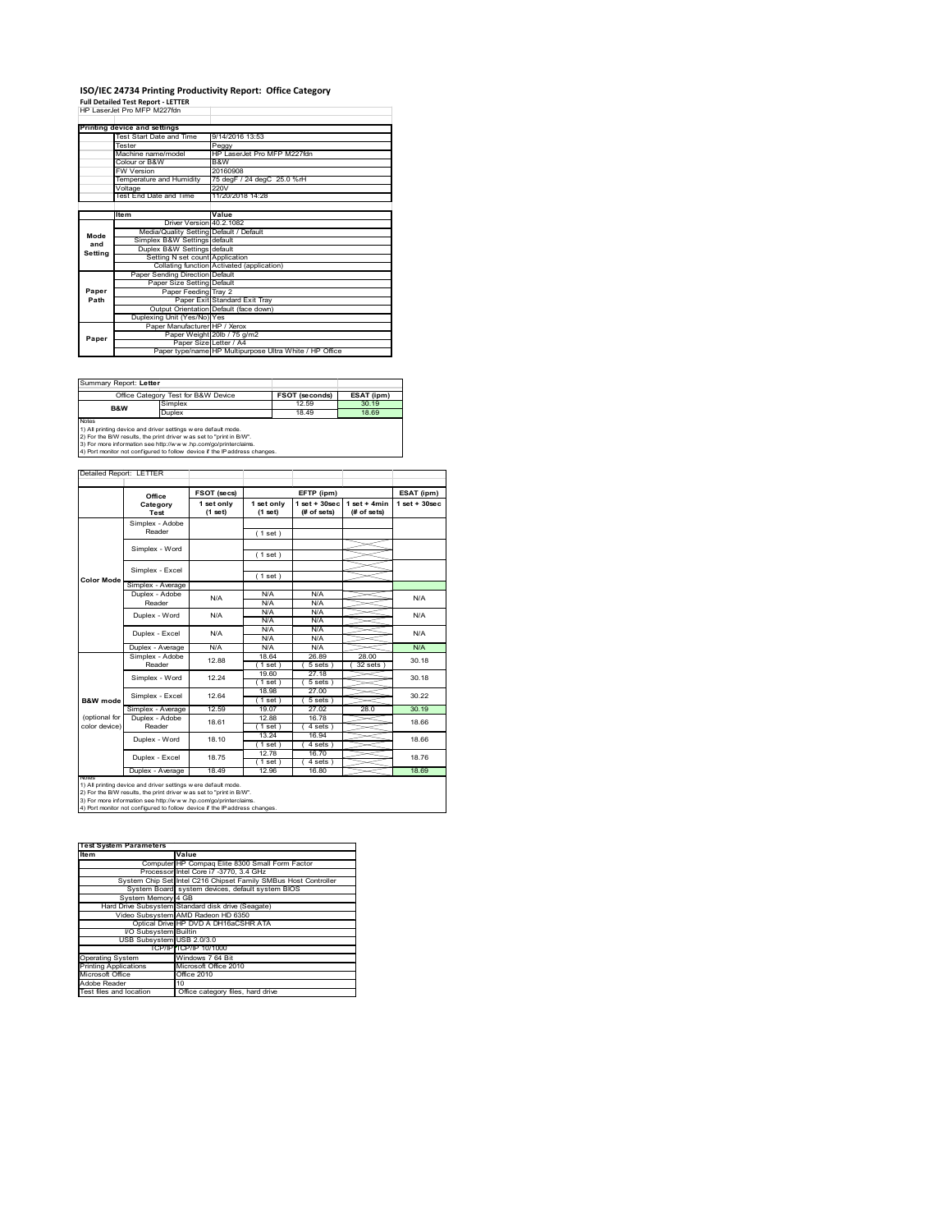# **ISO/IEC 24734 Printing Productivity Report: Office Category Full Detailed Test Report ‐ LETTER** HP LaserJet Pro MFP M227fdn

|         | HP I aser let Pro MFP M227fdn           |                                                         |
|---------|-----------------------------------------|---------------------------------------------------------|
|         | Printing device and settings            |                                                         |
|         | Test Start Date and Time                | 9/14/2016 13:53                                         |
|         | Tester                                  | Peggy                                                   |
|         | Machine name/model                      | HP LaserJet Pro MFP M227fdn                             |
|         | Colour or B&W                           | B&W                                                     |
|         | FW Version                              | 20160908                                                |
|         | Temperature and Humidity                | 75 degF / 24 degC 25.0 %rH                              |
|         | Voltage                                 | 220V                                                    |
|         | Test End Date and Time                  | 11/20/2018 14:28                                        |
|         |                                         |                                                         |
|         | <b>Item</b>                             | Value                                                   |
|         | Driver Version 40.2.1082                |                                                         |
| Mode    | Media/Quality Setting Default / Default |                                                         |
| and     | Simplex B&W Settings default            |                                                         |
| Setting | Duplex B&W Settings default             |                                                         |
|         | Setting N set count Application         |                                                         |
|         |                                         | Collating function Activated (application)              |
|         | Paper Sending Direction Default         |                                                         |
|         | Paper Size Setting Default              |                                                         |
| Paper   | Paper Feeding Tray 2                    |                                                         |
| Path    |                                         | Paper Exit Standard Exit Trav                           |
|         |                                         | Output Orientation Default (face down)                  |
|         | Duplexing Unit (Yes/No) Yes             |                                                         |
|         | Paper Manufacturer HP / Xerox           |                                                         |
| Paper   |                                         | Paper Weight 20lb / 75 g/m2                             |
|         | Paper Size Letter / A4                  |                                                         |
|         |                                         | Paper type/name HP Multipurpose Ultra White / HP Office |

Summary Report: **Letter**

|                                                                                                                                                 | Office Category Test for B&W Device | FSOT (seconds) | ESAT (ipm) |  |  |  |
|-------------------------------------------------------------------------------------------------------------------------------------------------|-------------------------------------|----------------|------------|--|--|--|
| B&W                                                                                                                                             | Simplex                             | 12.59          | 30 19      |  |  |  |
|                                                                                                                                                 | <b>Duplex</b>                       | 18.49          | 18.69      |  |  |  |
| Notes<br>1) All printing device and driver settings w ere default mode.<br>[2) For the B/W results, the print driver was set to "print in B/W". |                                     |                |            |  |  |  |

3) For more information see http://w w w .hp.com/go/printerclaims. 4) Port monitor not configured to follow device if the IP address changes.

| <b>Color Mode</b>   | Office<br>Category<br>Test<br>Simplex - Adobe<br>Reader<br>Simplex - Word<br>Simplex - Excel<br>Simplex - Average<br>Duplex - Adobe                                                                                                                                                    | FSOT (secs)<br>1 set only<br>(1 set) | 1 set only<br>(1 set)<br>(1 set)<br>(1 set)<br>(1 set) | EFTP (ipm)<br>$1 set + 30 sec$<br>(# of sets) | $1 set + 4 min$<br>(# of sets) | ESAT (ipm)<br>$1$ set + $30$ sec |  |
|---------------------|----------------------------------------------------------------------------------------------------------------------------------------------------------------------------------------------------------------------------------------------------------------------------------------|--------------------------------------|--------------------------------------------------------|-----------------------------------------------|--------------------------------|----------------------------------|--|
|                     |                                                                                                                                                                                                                                                                                        |                                      |                                                        |                                               |                                |                                  |  |
|                     |                                                                                                                                                                                                                                                                                        |                                      |                                                        |                                               |                                |                                  |  |
|                     |                                                                                                                                                                                                                                                                                        |                                      |                                                        |                                               |                                |                                  |  |
|                     |                                                                                                                                                                                                                                                                                        |                                      |                                                        |                                               |                                |                                  |  |
|                     |                                                                                                                                                                                                                                                                                        |                                      |                                                        |                                               |                                |                                  |  |
|                     |                                                                                                                                                                                                                                                                                        |                                      |                                                        |                                               |                                |                                  |  |
|                     |                                                                                                                                                                                                                                                                                        |                                      |                                                        |                                               |                                |                                  |  |
|                     |                                                                                                                                                                                                                                                                                        |                                      |                                                        |                                               |                                |                                  |  |
|                     |                                                                                                                                                                                                                                                                                        | N/A                                  | N/A                                                    | N/A                                           |                                | N/A                              |  |
|                     | Reader                                                                                                                                                                                                                                                                                 |                                      | N/A                                                    | N/A                                           |                                |                                  |  |
|                     | Duplex - Word                                                                                                                                                                                                                                                                          | N/A                                  | N/A                                                    | N/A                                           |                                | N/A                              |  |
|                     |                                                                                                                                                                                                                                                                                        |                                      | N/A                                                    | N/A                                           |                                |                                  |  |
|                     | Duplex - Excel                                                                                                                                                                                                                                                                         | N/A                                  | N/A                                                    | N/A                                           |                                | N/A                              |  |
|                     |                                                                                                                                                                                                                                                                                        |                                      | N/A                                                    | N/A                                           |                                |                                  |  |
|                     | Duplex - Average                                                                                                                                                                                                                                                                       | N/A                                  | N/A                                                    | N/A                                           |                                | N/A                              |  |
|                     | Simplex - Adobe                                                                                                                                                                                                                                                                        | 12.88                                | 18.64                                                  | 26.89                                         | 28.00                          | 30.18                            |  |
|                     | Reader                                                                                                                                                                                                                                                                                 |                                      | 1 set )                                                | 5 sets                                        | 32 sets                        |                                  |  |
|                     | Simplex - Word                                                                                                                                                                                                                                                                         | 12 24                                | 19.60                                                  | 27.18                                         |                                | 30 18                            |  |
|                     |                                                                                                                                                                                                                                                                                        |                                      | (1 set)                                                | 5 sets                                        |                                |                                  |  |
|                     | Simplex - Excel                                                                                                                                                                                                                                                                        | 12.64                                | 18.98                                                  | 27.00                                         |                                | 30.22                            |  |
| <b>B&amp;W</b> mode |                                                                                                                                                                                                                                                                                        |                                      | (1 set)                                                | 5 sets)                                       |                                |                                  |  |
|                     | Simplex - Average                                                                                                                                                                                                                                                                      | 12.59                                | 19.07                                                  | 27.02                                         | 28.0                           | 30.19                            |  |
| (optional for       | Duplex - Adobe                                                                                                                                                                                                                                                                         | 18.61                                | 12.88                                                  | 16.78                                         |                                | 18.66                            |  |
| color device)       | Reader                                                                                                                                                                                                                                                                                 |                                      | $1$ set)                                               | $4 sets$ )                                    |                                |                                  |  |
|                     | Duplex - Word                                                                                                                                                                                                                                                                          | 18.10                                | 13.24                                                  | 16.94                                         |                                | 18.66                            |  |
|                     |                                                                                                                                                                                                                                                                                        |                                      | (1 set)                                                | 4 sets)                                       |                                |                                  |  |
|                     | Duplex - Excel                                                                                                                                                                                                                                                                         | 18.75                                | 12.78                                                  | 16.70                                         |                                | 1876                             |  |
|                     |                                                                                                                                                                                                                                                                                        |                                      | $1$ set)                                               | 4 sets                                        |                                |                                  |  |
|                     | Duplex - Average                                                                                                                                                                                                                                                                       | 18.49                                | 12.96                                                  | 16.80                                         |                                | 18.69                            |  |
| <b>NOtes</b>        | 1) All printing device and driver settings w ere default mode.<br>2) For the B/W results, the print driver was set to "print in B/W".<br>3) For more information see http://www.hp.com/go/printerclaims.<br>4) Port monitor not configured to follow device if the IP address changes. |                                      |                                                        |                                               |                                |                                  |  |

| <b>Test System Parameters</b> |                                                                 |  |  |  |
|-------------------------------|-----------------------------------------------------------------|--|--|--|
| <b>Item</b>                   | Value                                                           |  |  |  |
|                               |                                                                 |  |  |  |
|                               | Computer HP Compag Elite 8300 Small Form Factor                 |  |  |  |
|                               | Processor Intel Core i7 -3770, 3.4 GHz                          |  |  |  |
|                               | System Chip Set Intel C216 Chipset Family SMBus Host Controller |  |  |  |
|                               | System Board system devices, default system BIOS                |  |  |  |
| System Memory 4 GB            |                                                                 |  |  |  |
|                               | Hard Drive Subsystem Standard disk drive (Seagate)              |  |  |  |
|                               | Video Subsystem AMD Radeon HD 6350                              |  |  |  |
|                               | Optical Drive HP DVD A DH16aCSHR ATA                            |  |  |  |
| I/O Subsystem Builtin         |                                                                 |  |  |  |
| USB Subsystem USB 2.0/3.0     |                                                                 |  |  |  |
|                               | TCP/IPITCP/IP 10/1000                                           |  |  |  |
| <b>Operating System</b>       | Windows 7 64 Bit                                                |  |  |  |
| <b>Printing Applications</b>  | Microsoft Office 2010                                           |  |  |  |
| Microsoft Office              | Office 2010                                                     |  |  |  |
| Adobe Reader                  | 10                                                              |  |  |  |
| Test files and location       | Office category files, hard drive                               |  |  |  |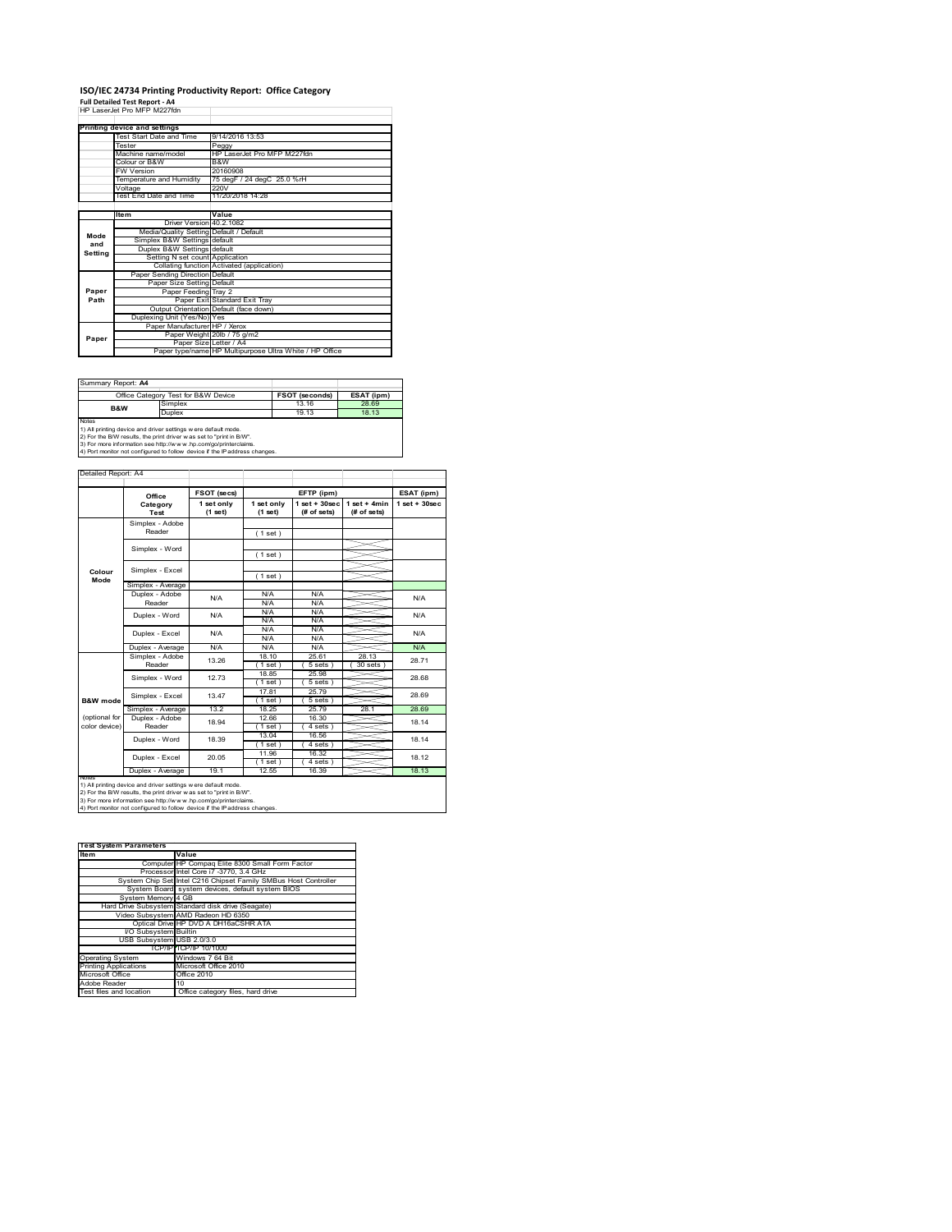#### **ISO/IEC 24734 Printing Productivity Report: Office Category Full Detailed Test Report ‐ A4** HP LaserJet Pro MFP M227fdn

|               | HP Laser let Pro MFP M227fdn            |                                                         |
|---------------|-----------------------------------------|---------------------------------------------------------|
|               | Printing device and settings            |                                                         |
|               | Test Start Date and Time                | 9/14/2016 13:53                                         |
|               | Tester                                  | Peggy                                                   |
|               | Machine name/model                      | HP LaserJet Pro MFP M227fdn                             |
|               | Colour or B&W                           | B&W                                                     |
|               | FW Version                              | 20160908                                                |
|               | Temperature and Humidity                | 75 degF / 24 degC 25.0 %rH                              |
|               | Voltage                                 | 220V                                                    |
|               | <b>Test End Date and Time</b>           | 11/20/2018 14:28                                        |
|               |                                         |                                                         |
|               | <b>Item</b>                             | Value                                                   |
|               | Driver Version 40.2.1082                |                                                         |
| Mode          | Media/Quality Setting Default / Default |                                                         |
| and           | Simplex B&W Settings default            |                                                         |
| Settina       | Duplex B&W Settings default             |                                                         |
|               | Setting N set count Application         |                                                         |
|               |                                         | Collating function Activated (application)              |
|               | Paper Sending Direction Default         |                                                         |
|               | Paper Size Setting Default              |                                                         |
| Paper<br>Path | Paper Feeding Tray 2                    |                                                         |
|               |                                         | Paper Exit Standard Exit Tray                           |
|               |                                         | Output Orientation Default (face down)                  |
|               | Duplexing Unit (Yes/No) Yes             |                                                         |
|               | Paper Manufacturer HP / Xerox           |                                                         |
| Paper         |                                         | Paper Weight 20lb / 75 g/m2                             |
|               | Paper Size Letter / A4                  | Paper type/name HP Multipurpose Ultra White / HP Office |
|               |                                         |                                                         |

Summary Report: **A4**

|                                                                      | Office Category Test for B&W Device                            | FSOT (seconds) | ESAT (ipm) |  |  |
|----------------------------------------------------------------------|----------------------------------------------------------------|----------------|------------|--|--|
| <b>B&amp;W</b>                                                       | Simplex                                                        | 13.16          | 28.69      |  |  |
|                                                                      | <b>Duplex</b>                                                  | 19.13          | 18 13      |  |  |
| <b>Notes</b>                                                         |                                                                |                |            |  |  |
|                                                                      | 1) All printing device and driver settings w ere default mode. |                |            |  |  |
| [2) For the B/W results, the print driver was set to "print in B/W". |                                                                |                |            |  |  |
|                                                                      |                                                                |                |            |  |  |

2) For the B/W results, the print driver w as set to "print in B/W".<br>3) For more information see http://w w w .hp.com/go/printerclaims.<br>4) Port monitor not configured to follow device if the IP address changes.

|                                                                     | Office            | FSOT (secs)             |                       | EFTP (ipm)                        |                                |                                 |  |
|---------------------------------------------------------------------|-------------------|-------------------------|-----------------------|-----------------------------------|--------------------------------|---------------------------------|--|
|                                                                     | Category<br>Test  | 1 set only<br>$(1$ set) | 1 set only<br>(1 set) | $1$ set + $30$ sec<br>(# of sets) | $1 set + 4 min$<br>(# of sets) | ESAT (ipm)<br>$1$ set $+30$ sec |  |
|                                                                     | Simplex - Adobe   |                         |                       |                                   |                                |                                 |  |
|                                                                     | Reader            |                         | (1 set)               |                                   |                                |                                 |  |
|                                                                     | Simplex - Word    |                         |                       |                                   |                                |                                 |  |
|                                                                     |                   |                         | (1 set)               |                                   |                                |                                 |  |
|                                                                     | Simplex - Excel   |                         |                       |                                   |                                |                                 |  |
| Colour<br>Mode                                                      |                   |                         | (1 set)               |                                   |                                |                                 |  |
|                                                                     | Simplex - Average |                         |                       |                                   |                                |                                 |  |
|                                                                     | Duplex - Adobe    | N/A                     | N/A                   | N/A                               |                                | N/A                             |  |
|                                                                     | Reader            |                         | N/A                   | N/A                               |                                |                                 |  |
|                                                                     | Duplex - Word     | N/A                     | N/A                   | N/A                               |                                | N/A                             |  |
|                                                                     |                   |                         | N/A                   | N/A                               |                                |                                 |  |
|                                                                     | Duplex - Excel    | N/A                     | N/A                   | N/A                               |                                | N/A                             |  |
|                                                                     |                   |                         | N/A                   | N/A                               |                                |                                 |  |
|                                                                     | Duplex - Average  | N/A                     | N/A                   | N/A                               |                                | N/A                             |  |
|                                                                     | Simplex - Adobe   | 13.26                   | 18.10                 | 25.61                             | 28.13                          | 28.71                           |  |
|                                                                     | Reader            |                         | 1 set                 | 5 sets                            | 30 sets                        |                                 |  |
|                                                                     | Simplex - Word    | 12.73                   | 18.85                 | 25.98                             |                                | 28.68                           |  |
|                                                                     |                   |                         | (1 set)               | 5 sets                            |                                |                                 |  |
|                                                                     | Simplex - Excel   | 13 47                   | 17.81                 | 25.79                             |                                | 28.69                           |  |
| B&W mode                                                            |                   |                         | (1 set)               | 5 sets)                           |                                |                                 |  |
|                                                                     | Simplex - Average | 132                     | 18 25                 | 25 79                             | 28.1                           | 28.69                           |  |
| (optional for<br>color device)                                      | Duplex - Adobe    | 18.94                   | 12.66                 | 16.30                             |                                | 18.14                           |  |
|                                                                     | Reader            |                         | (1 set )              | $4 sets$ )                        |                                |                                 |  |
|                                                                     | Duplex - Word     | 18.39                   | 13.04                 | 16.56                             |                                | 18.14                           |  |
|                                                                     |                   |                         | $1$ set)              | 4 sets)                           |                                |                                 |  |
|                                                                     | Duplex - Excel    | 20.05                   | 11.96                 | 16.32                             |                                | 18.12                           |  |
|                                                                     |                   |                         | 1 set                 | 4 sets                            |                                |                                 |  |
| 18.13<br>Duplex - Average<br>19.1<br>12.55<br>16.39<br><b>NOtes</b> |                   |                         |                       |                                   |                                |                                 |  |

| <b>Test System Parameters</b> |                                                                 |  |  |
|-------------------------------|-----------------------------------------------------------------|--|--|
| <b>Item</b>                   | Value                                                           |  |  |
|                               | Computer HP Compag Elite 8300 Small Form Factor                 |  |  |
|                               | Processor Intel Core i7 -3770, 3.4 GHz                          |  |  |
|                               | System Chip Set Intel C216 Chipset Family SMBus Host Controller |  |  |
|                               | System Board system devices, default system BIOS                |  |  |
| System Memory 4 GB            |                                                                 |  |  |
|                               | Hard Drive Subsystem Standard disk drive (Seagate)              |  |  |
|                               | Video Subsystem AMD Radeon HD 6350                              |  |  |
|                               | Optical Drive HP DVD A DH16aCSHR ATA                            |  |  |
| I/O Subsystem Builtin         |                                                                 |  |  |
| USB Subsystem USB 2.0/3.0     |                                                                 |  |  |
|                               | TCP/IPITCP/IP 10/1000                                           |  |  |
| <b>Operating System</b>       | Windows 7 64 Bit                                                |  |  |
| <b>Printing Applications</b>  | Microsoft Office 2010                                           |  |  |
| Microsoft Office              | Office 2010                                                     |  |  |
| Adobe Reader                  | 10                                                              |  |  |
| Test files and location       | Office category files, hard drive                               |  |  |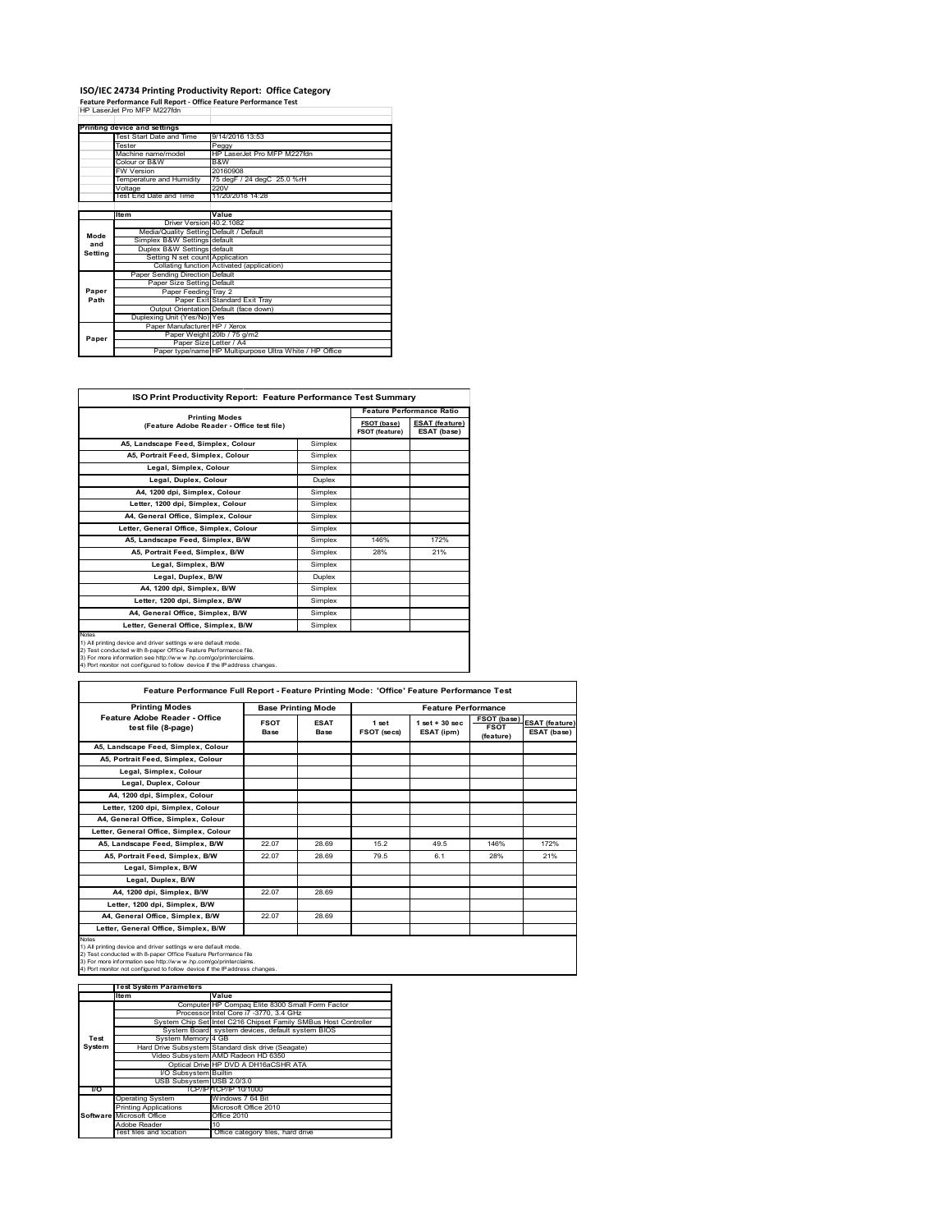# **ISO/IEC 24734 Printing Productivity Report: Office Category<br>Feature Performance Full Report - Office Feature Performance Test<br>HP LaserJet Pro MFP M227fdn**

|         | Printing device and settings            |                                                         |
|---------|-----------------------------------------|---------------------------------------------------------|
|         | Test Start Date and Time                | 9/14/2016 13:53                                         |
|         | Tester                                  | Peggy                                                   |
|         | Machine name/model                      | HP I aser let Pro MFP M227fdn                           |
|         | Colour or B&W                           | B&W                                                     |
|         | <b>FW Version</b>                       | 20160908                                                |
|         | Temperature and Humidity                | 75 degF / 24 degC 25.0 %rH                              |
|         | Voltage                                 | 220V                                                    |
|         | Test End Date and Time                  | 11/20/2018 14:28                                        |
|         |                                         |                                                         |
|         | <b>Item</b>                             | Value                                                   |
|         | Driver Version 40.2.1082                |                                                         |
| Mode    | Media/Quality Setting Default / Default |                                                         |
| and     | Simplex B&W Settings default            |                                                         |
| Setting | Duplex B&W Settings default             |                                                         |
|         | Setting N set count Application         |                                                         |
|         |                                         | Collating function Activated (application)              |
|         | Paper Sending Direction Default         |                                                         |
|         | Paper Size Setting Default              |                                                         |
| Paper   | Paper Feeding Tray 2                    |                                                         |
| Path    |                                         | Paper Exit Standard Exit Tray                           |
|         |                                         | Output Orientation Default (face down)                  |
|         | Duplexing Unit (Yes/No) Yes             |                                                         |
|         | Paper Manufacturer HP / Xerox           |                                                         |
| Paper   |                                         | Paper Weight 20lb / 75 g/m2                             |
|         | Paper Size Letter / A4                  |                                                         |
|         |                                         | Paper type/name HP Multipurpose Ultra White / HP Office |

Ť.

| <b>Printing Modes</b><br>(Feature Adobe Reader - Office test file)                                                                                                                                                                                                                          |               | FSOT (base)<br><b>FSOT (feature)</b> | <b>ESAT (feature)</b><br>ESAT (base) |
|---------------------------------------------------------------------------------------------------------------------------------------------------------------------------------------------------------------------------------------------------------------------------------------------|---------------|--------------------------------------|--------------------------------------|
| A5. Landscape Feed. Simplex. Colour                                                                                                                                                                                                                                                         | Simplex       |                                      |                                      |
| A5, Portrait Feed, Simplex, Colour                                                                                                                                                                                                                                                          | Simplex       |                                      |                                      |
| Legal, Simplex, Colour                                                                                                                                                                                                                                                                      | Simplex       |                                      |                                      |
| Legal, Duplex, Colour                                                                                                                                                                                                                                                                       | <b>Duplex</b> |                                      |                                      |
| A4. 1200 dpi. Simplex. Colour                                                                                                                                                                                                                                                               | Simplex       |                                      |                                      |
| Letter, 1200 dpi, Simplex, Colour                                                                                                                                                                                                                                                           | Simplex       |                                      |                                      |
| A4, General Office, Simplex, Colour                                                                                                                                                                                                                                                         | Simplex       |                                      |                                      |
| Letter, General Office, Simplex, Colour                                                                                                                                                                                                                                                     | Simplex       |                                      |                                      |
| A5, Landscape Feed, Simplex, B/W                                                                                                                                                                                                                                                            | Simplex       | 146%                                 | 172%                                 |
| A5, Portrait Feed, Simplex, B/W                                                                                                                                                                                                                                                             | Simplex       | 28%                                  | 21%                                  |
| Legal, Simplex, B/W                                                                                                                                                                                                                                                                         | Simplex       |                                      |                                      |
| Legal, Duplex, B/W                                                                                                                                                                                                                                                                          | <b>Duplex</b> |                                      |                                      |
| A4, 1200 dpi, Simplex, B/W                                                                                                                                                                                                                                                                  | Simplex       |                                      |                                      |
| Letter, 1200 dpi, Simplex, B/W                                                                                                                                                                                                                                                              | Simplex       |                                      |                                      |
| A4. General Office. Simplex. B/W                                                                                                                                                                                                                                                            | Simplex       |                                      |                                      |
| Letter, General Office, Simplex, B/W                                                                                                                                                                                                                                                        | Simplex       |                                      |                                      |
| Notes<br>1) All printing device and driver settings w ere default mode.<br>2) Test conducted with 8-paper Office Feature Performance file.<br>3) For more information see http://www.hp.com/go/printerclaims.<br>4) Port monitor not configured to follow device if the IP address changes. |               |                                      |                                      |

| Feature Performance Full Report - Feature Printing Mode: 'Office' Feature Performance Test                                                                                                                                                                                                 |                     |                            |                             |                                  |                                                |                               |  |
|--------------------------------------------------------------------------------------------------------------------------------------------------------------------------------------------------------------------------------------------------------------------------------------------|---------------------|----------------------------|-----------------------------|----------------------------------|------------------------------------------------|-------------------------------|--|
| <b>Printing Modes</b>                                                                                                                                                                                                                                                                      |                     | <b>Base Printing Mode</b>  |                             | <b>Feature Performance</b>       |                                                |                               |  |
| Feature Adobe Reader - Office<br>test file (8-page)                                                                                                                                                                                                                                        | <b>FSOT</b><br>Base | <b>ESAT</b><br><b>Base</b> | 1 set<br><b>FSOT (secs)</b> | $1$ set $+30$ sec.<br>ESAT (ipm) | <b>FSOT (base)</b><br><b>FSOT</b><br>(feature) | ESAT (feature)<br>ESAT (base) |  |
| A5, Landscape Feed, Simplex, Colour                                                                                                                                                                                                                                                        |                     |                            |                             |                                  |                                                |                               |  |
| A5, Portrait Feed, Simplex, Colour                                                                                                                                                                                                                                                         |                     |                            |                             |                                  |                                                |                               |  |
| Legal, Simplex, Colour                                                                                                                                                                                                                                                                     |                     |                            |                             |                                  |                                                |                               |  |
| Legal, Duplex, Colour                                                                                                                                                                                                                                                                      |                     |                            |                             |                                  |                                                |                               |  |
| A4, 1200 dpi, Simplex, Colour                                                                                                                                                                                                                                                              |                     |                            |                             |                                  |                                                |                               |  |
| Letter, 1200 dpi, Simplex, Colour                                                                                                                                                                                                                                                          |                     |                            |                             |                                  |                                                |                               |  |
| A4, General Office, Simplex, Colour                                                                                                                                                                                                                                                        |                     |                            |                             |                                  |                                                |                               |  |
| Letter, General Office, Simplex, Colour                                                                                                                                                                                                                                                    |                     |                            |                             |                                  |                                                |                               |  |
| A5, Landscape Feed, Simplex, B/W                                                                                                                                                                                                                                                           | 22.07               | 28.69                      | 15.2                        | 49.5                             | 146%                                           | 172%                          |  |
| A5, Portrait Feed, Simplex, B/W                                                                                                                                                                                                                                                            | 22.07               | 28.69                      | 79.5                        | 6.1                              | 28%                                            | 21%                           |  |
| Legal, Simplex, B/W                                                                                                                                                                                                                                                                        |                     |                            |                             |                                  |                                                |                               |  |
| Legal, Duplex, B/W                                                                                                                                                                                                                                                                         |                     |                            |                             |                                  |                                                |                               |  |
| A4. 1200 dpi. Simplex. B/W                                                                                                                                                                                                                                                                 | 22.07               | 28.69                      |                             |                                  |                                                |                               |  |
| Letter, 1200 dpi, Simplex, B/W                                                                                                                                                                                                                                                             |                     |                            |                             |                                  |                                                |                               |  |
| A4, General Office, Simplex, B/W                                                                                                                                                                                                                                                           | 22.07               | 28.69                      |                             |                                  |                                                |                               |  |
| Letter, General Office, Simplex, B/W                                                                                                                                                                                                                                                       |                     |                            |                             |                                  |                                                |                               |  |
| Notes<br>1) All printing device and driver settings w ere default mode.<br>2) Test conducted with 8-paper Office Feature Performance file<br>3) For more information see http://www.hp.com/go/printerclaims.<br>4) Port monitor not configured to follow device if the IP address changes. |                     |                            |                             |                                  |                                                |                               |  |

|               | <b>Test System Parameters</b> |                                                                 |
|---------------|-------------------------------|-----------------------------------------------------------------|
|               | lte m                         | Value                                                           |
|               |                               | Computer HP Compaq Elite 8300 Small Form Factor                 |
|               |                               | Processor Intel Core i7 -3770, 3.4 GHz                          |
|               |                               | System Chip Set Intel C216 Chipset Family SMBus Host Controller |
|               |                               | System Board system devices, default system BIOS                |
| Test          | System Memory 4 GB            |                                                                 |
| <b>System</b> |                               | Hard Drive Subsystem Standard disk drive (Seagate)              |
|               |                               | Video Subsystem AMD Radeon HD 6350                              |
|               |                               | Optical Drive HP DVD A DH16aCSHR ATA                            |
|               | I/O Subsystem Builtin         |                                                                 |
|               | USB Subsystem USB 2.0/3.0     |                                                                 |
| VO.           |                               | TCP/IP TCP/IP 10/1000                                           |
|               | <b>Operating System</b>       | Windows 7 64 Bit                                                |
|               | <b>Printing Applications</b>  | Microsoft Office 2010                                           |
|               | Software Microsoft Office     | Office 2010                                                     |
|               | Adobe Reader                  | 10 <sup>1</sup>                                                 |
|               | Test files and location       | Office category files, hard drive                               |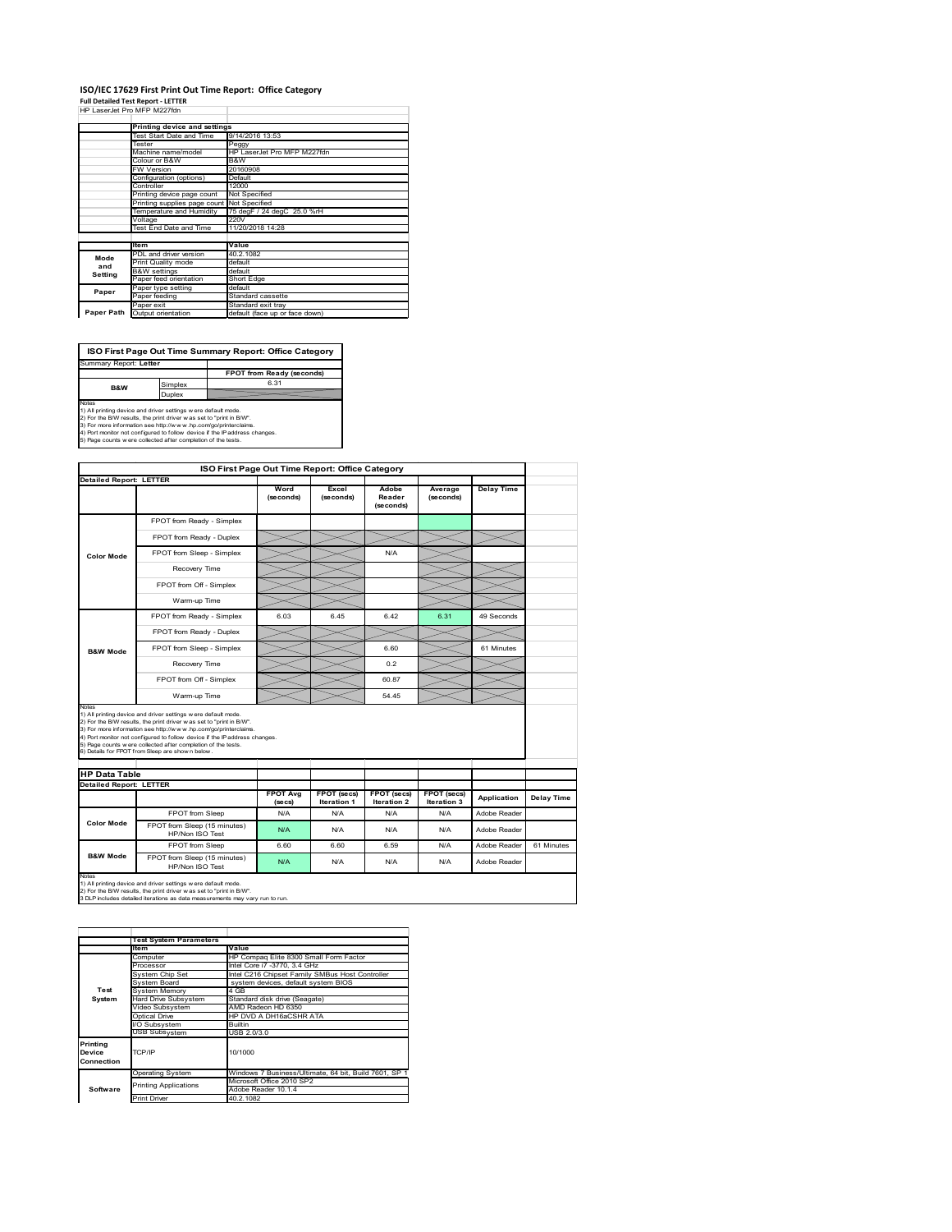#### **ISO/IEC 17629 First Print Out Time Report: Office Category Full Detailed Test Report ‐ LETTER** HP LaserJet Pro MFP M227fdn

|            | FF LASBURL FIV WEE WZZZNII   |                                |  |  |
|------------|------------------------------|--------------------------------|--|--|
|            | Printing device and settings |                                |  |  |
|            | Test Start Date and Time     | 9/14/2016 13:53                |  |  |
|            | Tester                       | Peggy                          |  |  |
|            | Machine name/model           | HP LaserJet Pro MFP M227fdn    |  |  |
|            | Colour or B&W                | B&W                            |  |  |
|            | <b>FW Version</b>            | 20160908                       |  |  |
|            | Configuration (options)      | Default                        |  |  |
|            | Controller                   | 12000                          |  |  |
|            | Printing device page count   | Not Specified                  |  |  |
|            | Printing supplies page count | Not Specified                  |  |  |
|            | Temperature and Humidity     | 75 degF / 24 degC 25.0 %rH     |  |  |
|            | Voltage                      | 220V                           |  |  |
|            | Test End Date and Time       | 11/20/2018 14:28               |  |  |
|            |                              |                                |  |  |
|            | ltem                         | Value                          |  |  |
| Mode       | PDL and driver version       | 40.2.1082                      |  |  |
| and        | Print Quality mode           | default                        |  |  |
| Setting    | <b>B&amp;W</b> settings      | default                        |  |  |
|            | Paper feed orientation       | Short Edge                     |  |  |
| Paper      | Paper type setting           | default                        |  |  |
|            | Paper feeding                | Standard cassette              |  |  |
|            | Paper exit                   | Standard exit tray             |  |  |
| Paper Path | Output orientation           | default (face up or face down) |  |  |

| ISO First Page Out Time Summary Report: Office Category                                                                                                                                                                                                                                                                                                                 |         |                                  |
|-------------------------------------------------------------------------------------------------------------------------------------------------------------------------------------------------------------------------------------------------------------------------------------------------------------------------------------------------------------------------|---------|----------------------------------|
| Summary Report: Letter                                                                                                                                                                                                                                                                                                                                                  |         |                                  |
|                                                                                                                                                                                                                                                                                                                                                                         |         | <b>FPOT from Ready (seconds)</b> |
| <b>B&amp;W</b>                                                                                                                                                                                                                                                                                                                                                          | Simplex | 6.31                             |
|                                                                                                                                                                                                                                                                                                                                                                         | Duplex  |                                  |
| <b>Notes</b><br>1) All printing device and driver settings w ere default mode.<br>2) For the B/W results, the print driver was set to "print in B/W".<br>3) For more information see http://www.hp.com/go/printerclaims.<br>4) Port monitor not configured to follow device if the IP address changes.<br>5) Page counts w ere collected after completion of the tests. |         |                                  |

**ISO First Page Out Time Report: Office Category Detailed Report: LETTER Delay Time Word (seconds) Excel (seconds) Adobe Reader Average (seconds)** (secone FPOT from Ready - Simplex FPOT from Ready - Duplex  $\asymp$  $>\!<$ FPOT from Sleep - Simplex N/A  $\overline{\phantom{a}}$ **Color Mode** Recovery Time ╰ FPOT from Off - Simplex  $\ggg$  $\!>\!$  $\lessgtr$  $\overline{\times}$ Warm-up Time  $\overline{\phantom{0}}$ FPOT from Ready - Simplex 6.03 6.45 6.42 6.31 49 Seconds FPOT from Ready - Duplex FPOT from Sleep - Simplex 6.60<br>
FROT from Sleep - Simplex 6.60 62<br>
Recovery Time **B&W Mode** Recovery Time **Cancer Covery Time** 0.2<br>Therm Off - Simplex 60.87  $\mathrel{{\mathop{\hbox{--}}\nolimits}}$  $\iff$ FPOT from Off - Simplex 60.87  $\equiv$ Warm-up Time 54.45 Notes<br>1) All printing device and driver settings were default mode.<br>2) For the BMV results, the print driver was set to "print in BMV".<br>3) For more information see http://www.hp.com/golprinterclaims.<br>4) Port monitor not co **HP Data Table Detailed Report: LETTER FPOT Avg FPOT (secs) Iteration 1 FPOT (secs) Iteration 2 FPOT (secs) Iteration 3 Application Delay Time (secs)** FPOT from Sleep N/A N/A N/A N/A N/A Adobe Reader **Color Mode** FPOT from Sleep (15 minutes) HP/Non ISO Test N/A N/A N/A N/A Adobe Reader FPOT from Sleep 6.60 6.60 6.59 N/A Adobe Reader 61 Minutes **B&W Mode** FPOT from Sleep (15 minutes) N/A N/A N/A N/A N/A Adobe Reader

Notes<br>1) All printing device and driver settings w ere default mode.<br>2) For the B/W results, the print driver w as set to "print in B/W".<br>3 DLP includes detailed iterations as data measurements may vary run to run.

|                                  | <b>Test System Parameters</b>         |                                                                                                                           |  |  |  |  |
|----------------------------------|---------------------------------------|---------------------------------------------------------------------------------------------------------------------------|--|--|--|--|
|                                  | ltem                                  | Value                                                                                                                     |  |  |  |  |
|                                  | Computer                              | HP Compaq Elite 8300 Small Form Factor<br>Intel Core i7 -3770, 3.4 GHz<br>Intel C216 Chipset Family SMBus Host Controller |  |  |  |  |
|                                  | Processor                             |                                                                                                                           |  |  |  |  |
|                                  | System Chip Set                       |                                                                                                                           |  |  |  |  |
|                                  | System Board                          | system devices, default system BIOS                                                                                       |  |  |  |  |
| Test                             | System Memory                         | 4 GB                                                                                                                      |  |  |  |  |
| System                           | Hard Drive Subsystem                  | Standard disk drive (Seagate)                                                                                             |  |  |  |  |
|                                  | AMD Radeon HD 6350<br>Video Subsystem |                                                                                                                           |  |  |  |  |
|                                  | Optical Drive                         | HP DVD A DH16aCSHR ATA                                                                                                    |  |  |  |  |
|                                  | I/O Subsystem                         | <b>Builtin</b>                                                                                                            |  |  |  |  |
|                                  | <b>USB Subsystem</b>                  | USB 2.0/3.0                                                                                                               |  |  |  |  |
| Printing<br>Device<br>Connection | TCP/IP                                | 10/1000                                                                                                                   |  |  |  |  |
|                                  | <b>Operating System</b>               | Windows 7 Business/Ultimate, 64 bit, Build 7601, SP 1                                                                     |  |  |  |  |
|                                  | <b>Printing Applications</b>          | Microsoft Office 2010 SP2                                                                                                 |  |  |  |  |
| Software                         |                                       | Adobe Reader 10.1.4                                                                                                       |  |  |  |  |
|                                  | <b>Print Driver</b>                   | 40.2.1082                                                                                                                 |  |  |  |  |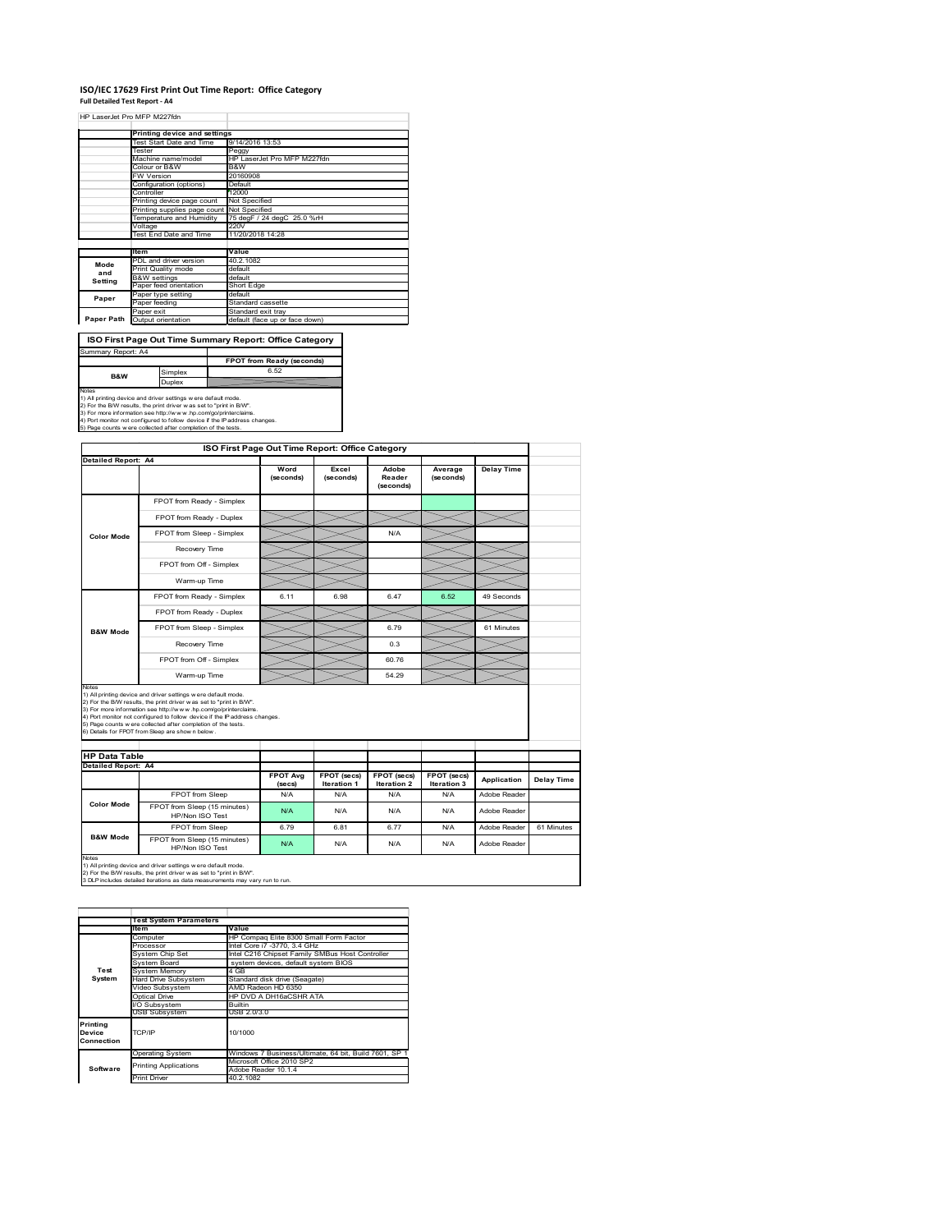#### **ISO/IEC 17629 First Print Out Time Report: Office Category Full Detailed Test Report ‐ A4**

|            | HP LaserJet Pro MFP M227fdn                |                                |  |  |
|------------|--------------------------------------------|--------------------------------|--|--|
|            |                                            |                                |  |  |
|            | Printing device and settings               |                                |  |  |
|            | Test Start Date and Time                   | 9/14/2016 13:53                |  |  |
|            | Tester                                     | Peggy                          |  |  |
|            | Machine name/model                         | HP LaserJet Pro MFP M227fdn    |  |  |
|            | Colour or B&W                              | B&W                            |  |  |
|            | FW Version                                 | 20160908                       |  |  |
|            | Configuration (options)                    | Default                        |  |  |
|            | Controller                                 | 12000                          |  |  |
|            | Printing device page count                 | Not Specified                  |  |  |
|            | Printing supplies page count Not Specified |                                |  |  |
|            | Temperature and Humidity                   | 75 degF / 24 degC 25.0 %rH     |  |  |
|            | Voltage                                    | 220V                           |  |  |
|            | Test End Date and Time                     | 11/20/2018 14:28               |  |  |
|            |                                            |                                |  |  |
|            | ltem                                       | Value                          |  |  |
| Mode       | PDL and driver version                     | 40.2.1082                      |  |  |
| and        | Print Quality mode                         | default                        |  |  |
| Setting    | <b>B&amp;W</b> settings                    | default                        |  |  |
|            | Paper feed orientation                     | Short Edge                     |  |  |
| Paper      | Paper type setting                         | default                        |  |  |
|            | Paper feeding                              | Standard cassette              |  |  |
|            | Paper exit                                 | Standard exit tray             |  |  |
| Paper Path | Output orientation                         | default (face up or face down) |  |  |

#### **ISO First Page Out Time Summary Report: Office Category**

| Summary Report: A4                                                         |                                                                     |                           |  |
|----------------------------------------------------------------------------|---------------------------------------------------------------------|---------------------------|--|
|                                                                            |                                                                     | FPOT from Ready (seconds) |  |
| Simplex<br><b>B&amp;W</b>                                                  |                                                                     | 6.52                      |  |
|                                                                            | Duplex                                                              |                           |  |
| Notes                                                                      |                                                                     |                           |  |
| 1) All printing device and driver settings w ere default mode.             |                                                                     |                           |  |
|                                                                            | 2) For the B/W results, the print driver was set to "print in B/W". |                           |  |
| 3) For more information see http://www.hp.com/go/printerclaims.            |                                                                     |                           |  |
| 4) Port monitor not configured to follow device if the IP address changes. |                                                                     |                           |  |
| 5) Page counts w ere collected after completion of the tests.              |                                                                     |                           |  |

|                                                      | <b>Detailed Report: A4</b>                                                                                                                                                                                                                                                                                                               |                           |                            |                              |                            |                   |            |
|------------------------------------------------------|------------------------------------------------------------------------------------------------------------------------------------------------------------------------------------------------------------------------------------------------------------------------------------------------------------------------------------------|---------------------------|----------------------------|------------------------------|----------------------------|-------------------|------------|
|                                                      |                                                                                                                                                                                                                                                                                                                                          | Word<br>(seconds)         | Excel<br>(seconds)         | Adobe<br>Reader<br>(seconds) | Average<br>(seconds)       | <b>Delay Time</b> |            |
|                                                      | FPOT from Ready - Simplex                                                                                                                                                                                                                                                                                                                |                           |                            |                              |                            |                   |            |
|                                                      | FPOT from Ready - Duplex                                                                                                                                                                                                                                                                                                                 |                           |                            |                              |                            |                   |            |
| <b>Color Mode</b>                                    | FPOT from Sleep - Simplex                                                                                                                                                                                                                                                                                                                |                           |                            | N/A                          |                            |                   |            |
|                                                      | Recovery Time                                                                                                                                                                                                                                                                                                                            |                           |                            |                              |                            |                   |            |
|                                                      | FPOT from Off - Simplex                                                                                                                                                                                                                                                                                                                  |                           |                            |                              |                            |                   |            |
|                                                      | Warm-up Time                                                                                                                                                                                                                                                                                                                             |                           |                            |                              |                            |                   |            |
|                                                      | FPOT from Ready - Simplex                                                                                                                                                                                                                                                                                                                | 6.11                      | 6.98                       | 6.47                         | 6.52                       | 49 Seconds        |            |
|                                                      | FPOT from Ready - Duplex                                                                                                                                                                                                                                                                                                                 |                           |                            |                              |                            |                   |            |
| <b>B&amp;W Mode</b>                                  | FPOT from Sleep - Simplex                                                                                                                                                                                                                                                                                                                |                           |                            | 6.79                         |                            | 61 Minutes        |            |
|                                                      | Recovery Time                                                                                                                                                                                                                                                                                                                            |                           |                            | 0.3                          |                            |                   |            |
|                                                      |                                                                                                                                                                                                                                                                                                                                          |                           |                            |                              |                            |                   |            |
|                                                      | FPOT from Off - Simplex                                                                                                                                                                                                                                                                                                                  |                           |                            | 60.76                        |                            |                   |            |
|                                                      | Warm-up Time<br>1) All printing device and driver settings w ere default mode.                                                                                                                                                                                                                                                           |                           |                            | 54.29                        |                            |                   |            |
| Notes<br><b>HP Data Table</b><br>Detailed Report: A4 | 2) For the B/W results, the print driver was set to "print in B/W".<br>3) For more information see http://www.hp.com/go/printerclaims.<br>4) Port monitor not configured to follow device if the IP address changes.<br>5) Page counts were collected after completion of the tests.<br>6) Details for FPOT from Sleep are show n below. |                           |                            |                              |                            |                   |            |
|                                                      |                                                                                                                                                                                                                                                                                                                                          | <b>FPOT Avg</b><br>(secs) | FPOT (secs)<br>Iteration 1 | FPOT (secs)<br>Iteration 2   | FPOT (secs)<br>Iteration 3 | Application       | Delay Time |
|                                                      | FPOT from Sleep                                                                                                                                                                                                                                                                                                                          | N/A                       | N/A                        | N/A                          | N/A                        | Adobe Reader      |            |
| <b>Color Mode</b>                                    | FPOT from Sleep (15 minutes)<br>HP/Non ISO Test                                                                                                                                                                                                                                                                                          | N/A                       | N/A                        | N/A                          | N/A                        | Adobe Reader      |            |
| <b>B&amp;W Mode</b>                                  | FPOT from Sleep                                                                                                                                                                                                                                                                                                                          | 6.79                      | 6.81                       | 677                          | N/A                        | Adobe Reader      | 61 Minutes |

|                                  | <b>Test System Parameters</b>                                |                                                                                                                                                                          |  |  |  |
|----------------------------------|--------------------------------------------------------------|--------------------------------------------------------------------------------------------------------------------------------------------------------------------------|--|--|--|
|                                  | ltem                                                         | Value                                                                                                                                                                    |  |  |  |
|                                  | Computer                                                     | HP Compag Elite 8300 Small Form Factor<br>Intel Core i7 -3770, 3.4 GHz<br>Intel C216 Chipset Family SMBus Host Controller<br>system devices, default system BIOS<br>4 GB |  |  |  |
|                                  | Processor                                                    |                                                                                                                                                                          |  |  |  |
|                                  | System Chip Set                                              |                                                                                                                                                                          |  |  |  |
|                                  | System Board                                                 |                                                                                                                                                                          |  |  |  |
| Test                             | System Memory                                                |                                                                                                                                                                          |  |  |  |
| System                           | <b>Hard Drive Subsystem</b><br>Standard disk drive (Seagate) |                                                                                                                                                                          |  |  |  |
|                                  | AMD Radeon HD 6350<br>Video Subsystem                        |                                                                                                                                                                          |  |  |  |
|                                  | Optical Drive                                                | HP DVD A DH16aCSHR ATA                                                                                                                                                   |  |  |  |
|                                  | I/O Subsystem                                                | <b>Builtin</b>                                                                                                                                                           |  |  |  |
|                                  | <b>USB Subsystem</b>                                         | USB 2.0/3.0                                                                                                                                                              |  |  |  |
| Printing<br>Device<br>Connection | 10/1000<br>TCP/IP                                            |                                                                                                                                                                          |  |  |  |
|                                  | <b>Operating System</b>                                      | Windows 7 Business/Ultimate, 64 bit, Build 7601, SP 1                                                                                                                    |  |  |  |
|                                  | <b>Printing Applications</b>                                 | Microsoft Office 2010 SP2                                                                                                                                                |  |  |  |
| Software                         |                                                              | Adobe Reader 10.1.4                                                                                                                                                      |  |  |  |
|                                  | <b>Print Driver</b>                                          | 40.2.1082                                                                                                                                                                |  |  |  |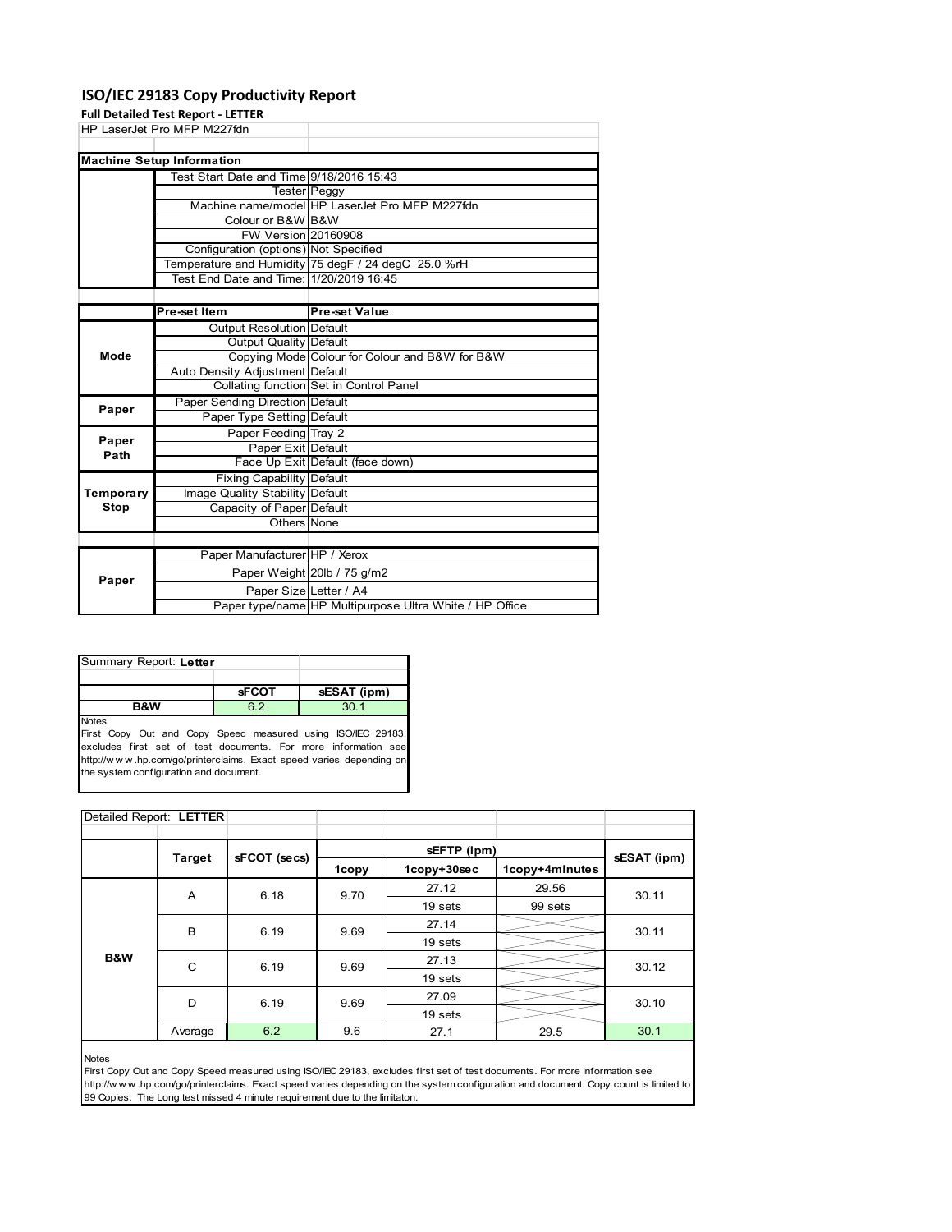## **ISO/IEC 29183 Copy Productivity Report**

**Full Detailed Test Report ‐ LETTER**

| HP LaserJet Pro MFP M227fdn              |                                                     |
|------------------------------------------|-----------------------------------------------------|
|                                          |                                                     |
| <b>Machine Setup Information</b>         |                                                     |
| Test Start Date and Time 9/18/2016 15:43 |                                                     |
|                                          | <b>Tester</b> Peggy                                 |
|                                          | Machine name/model HP LaserJet Pro MFP M227fdn      |
| Colour or B&W B&W                        |                                                     |
| <b>FW Version 20160908</b>               |                                                     |
| Configuration (options) Not Specified    |                                                     |
|                                          | Temperature and Humidity 75 degF / 24 degC 25.0 %rH |
| Test End Date and Time: 1/20/2019 16:45  |                                                     |
|                                          |                                                     |

|           | Pre-set Item                     | <b>Pre-set Value</b>                                    |
|-----------|----------------------------------|---------------------------------------------------------|
|           | <b>Output Resolution Default</b> |                                                         |
|           | Output Quality Default           |                                                         |
| Mode      |                                  | Copying Mode Colour for Colour and B&W for B&W          |
|           | Auto Density Adjustment Default  |                                                         |
|           |                                  | Collating function Set in Control Panel                 |
| Paper     | Paper Sending Direction Default  |                                                         |
|           | Paper Type Setting Default       |                                                         |
| Paper     | Paper Feeding Tray 2             |                                                         |
| Path      | Paper Exit Default               |                                                         |
|           |                                  | Face Up Exit Default (face down)                        |
|           | <b>Fixing Capability Default</b> |                                                         |
| Temporary | Image Quality Stability Default  |                                                         |
| Stop      | Capacity of Paper Default        |                                                         |
|           | Others None                      |                                                         |
|           |                                  |                                                         |
|           | Paper Manufacturer HP / Xerox    |                                                         |
| Paper     |                                  | Paper Weight 20lb / 75 g/m2                             |
|           | Paper Size Letter / A4           |                                                         |
|           |                                  | Paper type/name HP Multipurpose Ultra White / HP Office |

| Summary Report: Letter                   |              |             |  |  |  |
|------------------------------------------|--------------|-------------|--|--|--|
|                                          |              |             |  |  |  |
|                                          | <b>sFCOT</b> | sESAT (ipm) |  |  |  |
| 6 2<br>30 <sub>1</sub><br><b>B&amp;W</b> |              |             |  |  |  |
| <b>Notes</b>                             |              |             |  |  |  |

First Copy Out and Copy Speed measured using ISO/IEC 29183, excludes first set of test documents. For more information see http://w w w .hp.com/go/printerclaims. Exact speed varies depending on the system configuration and document.

| Detailed Report: LETTER |               |              |       |             |                |             |
|-------------------------|---------------|--------------|-------|-------------|----------------|-------------|
|                         |               |              |       |             |                |             |
|                         | <b>Target</b> | sFCOT (secs) |       |             | sEFTP (ipm)    |             |
|                         |               |              | 1copy | 1copy+30sec | 1copy+4minutes | sESAT (ipm) |
|                         | A             | 6.18         | 9.70  | 27.12       | 29.56          | 30.11       |
|                         |               |              |       | 19 sets     | 99 sets        |             |
|                         | B             | 6.19         | 9.69  | 27.14       |                | 30.11       |
|                         |               |              |       | 19 sets     |                |             |
| B&W                     | C             | 6.19         | 9.69  | 27.13       |                | 30.12       |
|                         |               |              |       | 19 sets     |                |             |
|                         | D             | 6.19         | 9.69  | 27.09       |                | 30.10       |
|                         |               |              |       | 19 sets     |                |             |
|                         | Average       | 6.2          | 9.6   | 27.1        | 29.5           | 30.1        |

#### Notes

First Copy Out and Copy Speed measured using ISO/IEC 29183, excludes first set of test documents. For more information see http://w w w .hp.com/go/printerclaims. Exact speed varies depending on the system configuration and document. Copy count is limited to 99 Copies. The Long test missed 4 minute requirement due to the limitaton.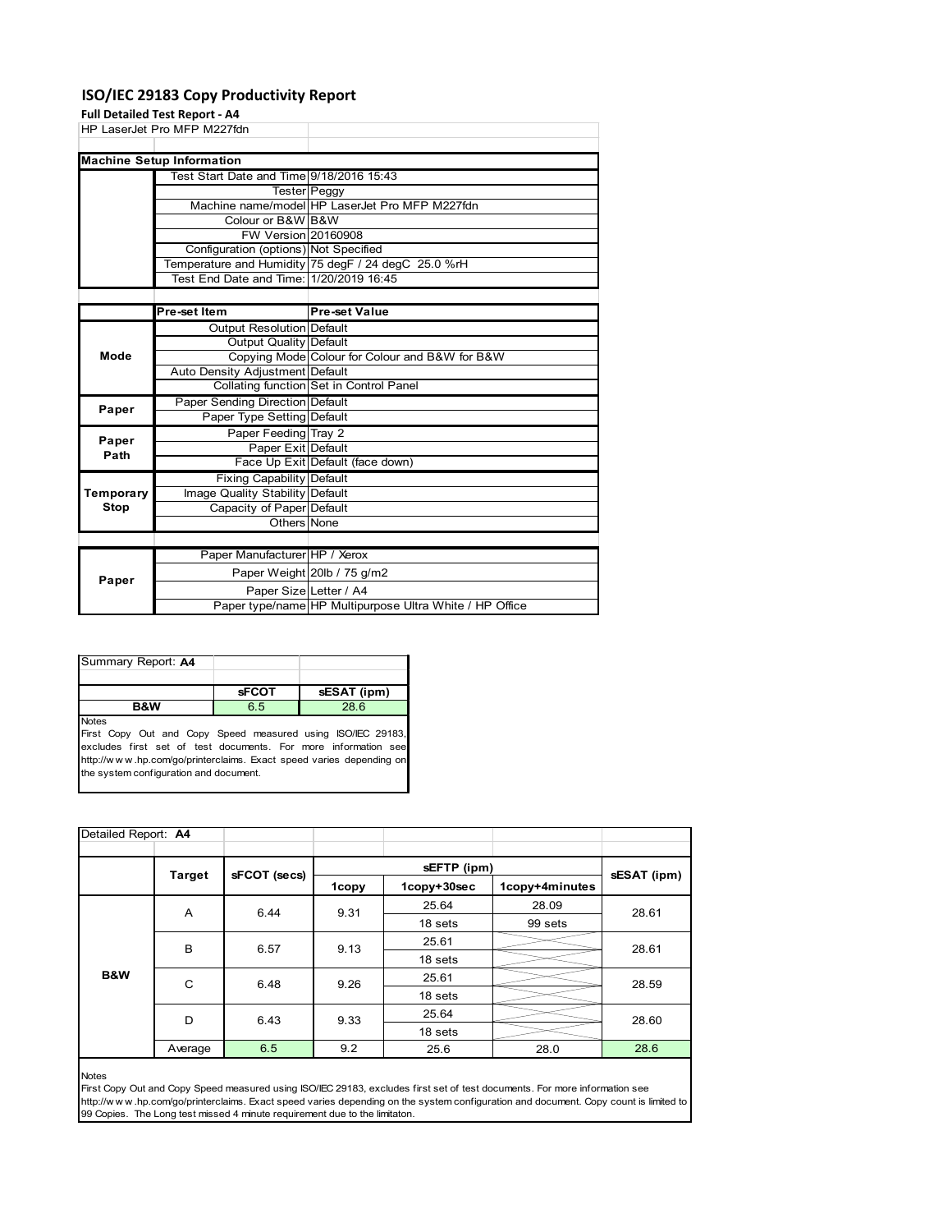## **ISO/IEC 29183 Copy Productivity Report**

### **Full Detailed Test Report ‐ A4**

| HP LaserJet Pro MFP M227fdn |                                          |                                                     |
|-----------------------------|------------------------------------------|-----------------------------------------------------|
|                             |                                          |                                                     |
|                             | <b>Machine Setup Information</b>         |                                                     |
|                             | Test Start Date and Time 9/18/2016 15:43 |                                                     |
|                             |                                          | <b>Tester</b> Peggy                                 |
|                             |                                          | Machine name/model HP LaserJet Pro MFP M227fdn      |
|                             | Colour or B&W B&W                        |                                                     |
|                             | <b>FW Version 20160908</b>               |                                                     |
|                             | Configuration (options) Not Specified    |                                                     |
|                             |                                          | Temperature and Humidity 75 degF / 24 degC 25.0 %rH |
|                             | Test End Date and Time: 1/20/2019 16:45  |                                                     |
|                             |                                          |                                                     |
|                             |                                          |                                                     |

|                                                                                                                                                                                                                                                                                                                                                                                                                                                                                                                                                                                                                                                                                       | Pre-set Item | <b>Pre-set Value</b> |
|---------------------------------------------------------------------------------------------------------------------------------------------------------------------------------------------------------------------------------------------------------------------------------------------------------------------------------------------------------------------------------------------------------------------------------------------------------------------------------------------------------------------------------------------------------------------------------------------------------------------------------------------------------------------------------------|--------------|----------------------|
|                                                                                                                                                                                                                                                                                                                                                                                                                                                                                                                                                                                                                                                                                       |              |                      |
|                                                                                                                                                                                                                                                                                                                                                                                                                                                                                                                                                                                                                                                                                       |              |                      |
| <b>Output Resolution Default</b><br>Output Quality Default<br>Copying Mode Colour for Colour and B&W for B&W<br>Mode<br>Auto Density Adjustment Default<br>Collating function Set in Control Panel<br>Paper Sending Direction Default<br>Paper<br>Paper Type Setting Default<br>Paper Feeding Tray 2<br>Paper<br>Paper Exit Default<br>Path<br>Face Up Exit Default (face down)<br><b>Fixing Capability Default</b><br>Image Quality Stability Default<br>Temporary<br>Capacity of Paper Default<br>Stop<br>Others None<br>Paper Manufacturer HP / Xerox<br>Paper Weight 20lb / 75 g/m2<br>Paper<br>Paper Size Letter / A4<br>Paper type/name HP Multipurpose Ultra White / HP Office |              |                      |
|                                                                                                                                                                                                                                                                                                                                                                                                                                                                                                                                                                                                                                                                                       |              |                      |
|                                                                                                                                                                                                                                                                                                                                                                                                                                                                                                                                                                                                                                                                                       |              |                      |
|                                                                                                                                                                                                                                                                                                                                                                                                                                                                                                                                                                                                                                                                                       |              |                      |
|                                                                                                                                                                                                                                                                                                                                                                                                                                                                                                                                                                                                                                                                                       |              |                      |
|                                                                                                                                                                                                                                                                                                                                                                                                                                                                                                                                                                                                                                                                                       |              |                      |
|                                                                                                                                                                                                                                                                                                                                                                                                                                                                                                                                                                                                                                                                                       |              |                      |
|                                                                                                                                                                                                                                                                                                                                                                                                                                                                                                                                                                                                                                                                                       |              |                      |
|                                                                                                                                                                                                                                                                                                                                                                                                                                                                                                                                                                                                                                                                                       |              |                      |
|                                                                                                                                                                                                                                                                                                                                                                                                                                                                                                                                                                                                                                                                                       |              |                      |
|                                                                                                                                                                                                                                                                                                                                                                                                                                                                                                                                                                                                                                                                                       |              |                      |
|                                                                                                                                                                                                                                                                                                                                                                                                                                                                                                                                                                                                                                                                                       |              |                      |
|                                                                                                                                                                                                                                                                                                                                                                                                                                                                                                                                                                                                                                                                                       |              |                      |
|                                                                                                                                                                                                                                                                                                                                                                                                                                                                                                                                                                                                                                                                                       |              |                      |
|                                                                                                                                                                                                                                                                                                                                                                                                                                                                                                                                                                                                                                                                                       |              |                      |
|                                                                                                                                                                                                                                                                                                                                                                                                                                                                                                                                                                                                                                                                                       |              |                      |
|                                                                                                                                                                                                                                                                                                                                                                                                                                                                                                                                                                                                                                                                                       |              |                      |

| Summary Report: A4 |              |             |
|--------------------|--------------|-------------|
|                    |              |             |
|                    | <b>sFCOT</b> | sESAT (ipm) |
| <b>B&amp;W</b>     | 6.5          | 28.6        |
| <b>Notes</b>       |              |             |

First Copy Out and Copy Speed measured using ISO/IEC 29183, excludes first set of test documents. For more information see http://w w w .hp.com/go/printerclaims. Exact speed varies depending on the system configuration and document.

| Detailed Report: A4 |               |              |       |             |                |             |  |
|---------------------|---------------|--------------|-------|-------------|----------------|-------------|--|
|                     | <b>Target</b> | sFCOT (secs) |       | sEFTP (ipm) |                | sESAT (ipm) |  |
|                     |               |              | 1copy | 1copy+30sec | 1copy+4minutes |             |  |
|                     | A             | 6.44         | 9.31  | 25.64       | 28.09          | 28.61       |  |
|                     |               |              |       | 18 sets     | 99 sets        |             |  |
|                     | B             | 6.57         | 9.13  | 25.61       |                | 28.61       |  |
|                     |               |              |       | 18 sets     |                |             |  |
| B&W                 | C             | 6.48         | 9.26  | 25.61       |                | 28.59       |  |
|                     |               |              |       | 18 sets     |                |             |  |
|                     |               | D<br>6.43    | 9.33  | 25.64       |                | 28.60       |  |
|                     |               |              |       | 18 sets     |                |             |  |
|                     | Average       | 6.5          | 9.2   | 25.6        | 28.0           | 28.6        |  |

#### Notes

First Copy Out and Copy Speed measured using ISO/IEC 29183, excludes first set of test documents. For more information see http://w w w .hp.com/go/printerclaims. Exact speed varies depending on the system configuration and document. Copy count is limited to 99 Copies. The Long test missed 4 minute requirement due to the limitaton.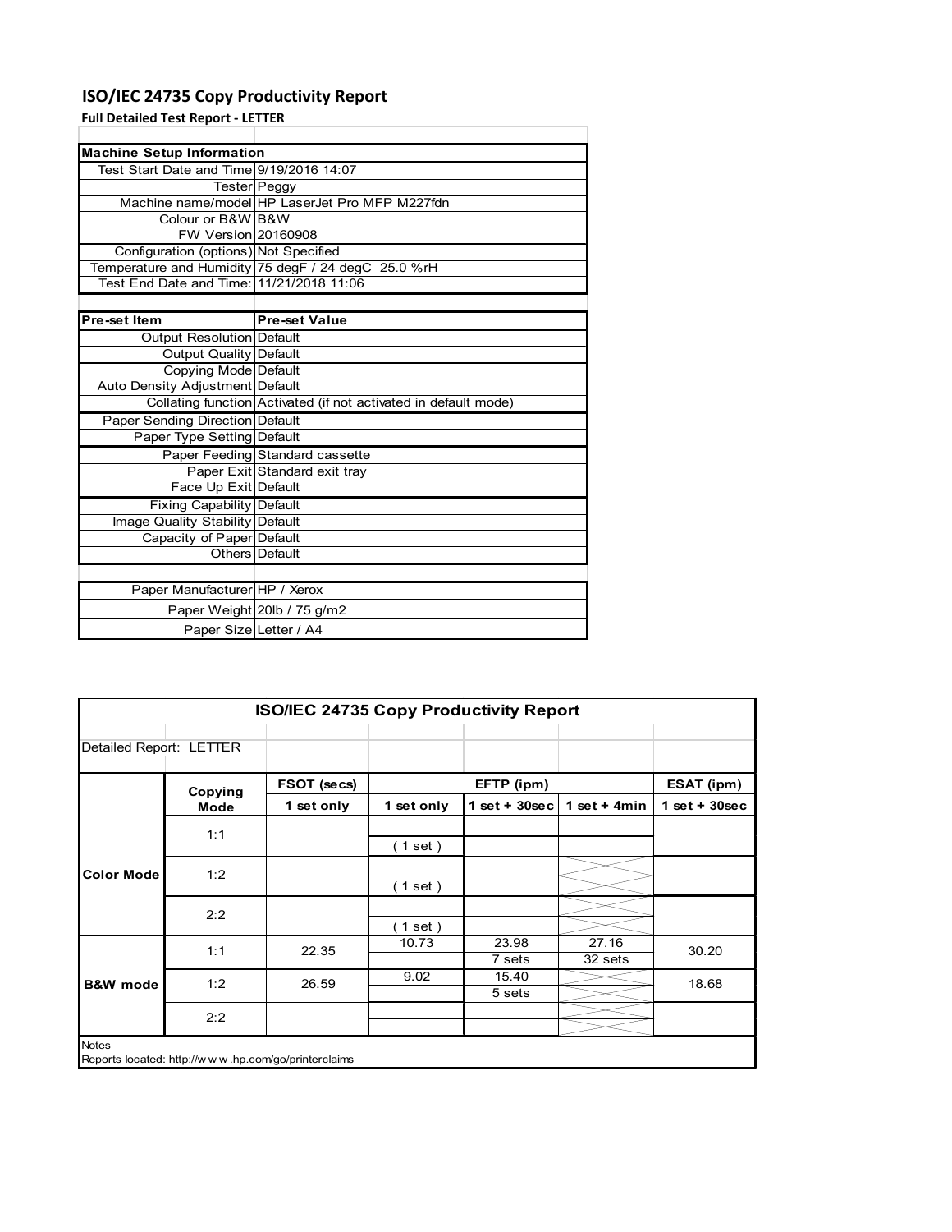## **ISO/IEC 24735 Copy Productivity Report**

**Full Detailed Test Report ‐ LETTER**

| <b>Machine Setup Information</b>         |                                                                 |
|------------------------------------------|-----------------------------------------------------------------|
| Test Start Date and Time 9/19/2016 14:07 |                                                                 |
|                                          | Tester Peggy                                                    |
|                                          | Machine name/model HP LaserJet Pro MFP M227fdn                  |
| Colour or B&W B&W                        |                                                                 |
| FW Version 20160908                      |                                                                 |
| Configuration (options) Not Specified    |                                                                 |
|                                          | Temperature and Humidity 75 degF / 24 degC 25.0 %rH             |
|                                          |                                                                 |
|                                          |                                                                 |
| Pre-set Item                             | <b>Pre-set Value</b>                                            |
| Output Resolution Default                |                                                                 |
| Output Quality Default                   |                                                                 |
| Copying Mode Default                     |                                                                 |
| Auto Density Adjustment Default          |                                                                 |
|                                          | Collating function Activated (if not activated in default mode) |
| Paper Sending Direction Default          |                                                                 |
| Paper Type Setting Default               |                                                                 |
|                                          | Paper Feeding Standard cassette                                 |
|                                          | Paper Exit Standard exit tray                                   |
| Face Up Exit Default                     |                                                                 |
| Fixing Capability Default                |                                                                 |
| Image Quality Stability Default          |                                                                 |
| Capacity of Paper Default                |                                                                 |
|                                          | Others Default                                                  |
|                                          |                                                                 |
| Paper Manufacturer HP / Xerox            |                                                                 |
|                                          | Paper Weight 20lb / 75 g/m2                                     |
| Paper Size Letter / A4                   |                                                                 |

|                         | <b>ISO/IEC 24735 Copy Productivity Report</b> |                                                     |            |                  |                  |                 |  |  |
|-------------------------|-----------------------------------------------|-----------------------------------------------------|------------|------------------|------------------|-----------------|--|--|
| Detailed Report: LETTER |                                               |                                                     |            |                  |                  |                 |  |  |
|                         | Copying                                       | FSOT (secs)                                         |            | EFTP (ipm)       |                  | ESAT (ipm)      |  |  |
|                         | Mode                                          | 1 set only                                          | 1 set only | 1 set + $30$ sec | 1 set + $4min$   | $1$ set + 30sec |  |  |
|                         | 1:1                                           |                                                     | (1 set)    |                  |                  |                 |  |  |
| <b>Color Mode</b>       | 1:2                                           |                                                     | (1 set)    |                  |                  |                 |  |  |
|                         | 2:2                                           |                                                     | $1$ set)   |                  |                  |                 |  |  |
|                         | 1:1                                           | 22.35                                               | 10.73      | 23.98<br>7 sets  | 27.16<br>32 sets | 30.20           |  |  |
| <b>B&amp;W</b> mode     | 1:2                                           | 26.59                                               | 9.02       | 15.40<br>5 sets  |                  | 18.68           |  |  |
|                         | 2:2                                           |                                                     |            |                  |                  |                 |  |  |
| <b>Notes</b>            |                                               | Reports located: http://www.hp.com/go/printerclaims |            |                  |                  |                 |  |  |

Reports located: http://w w w .hp.com/go/printerclaims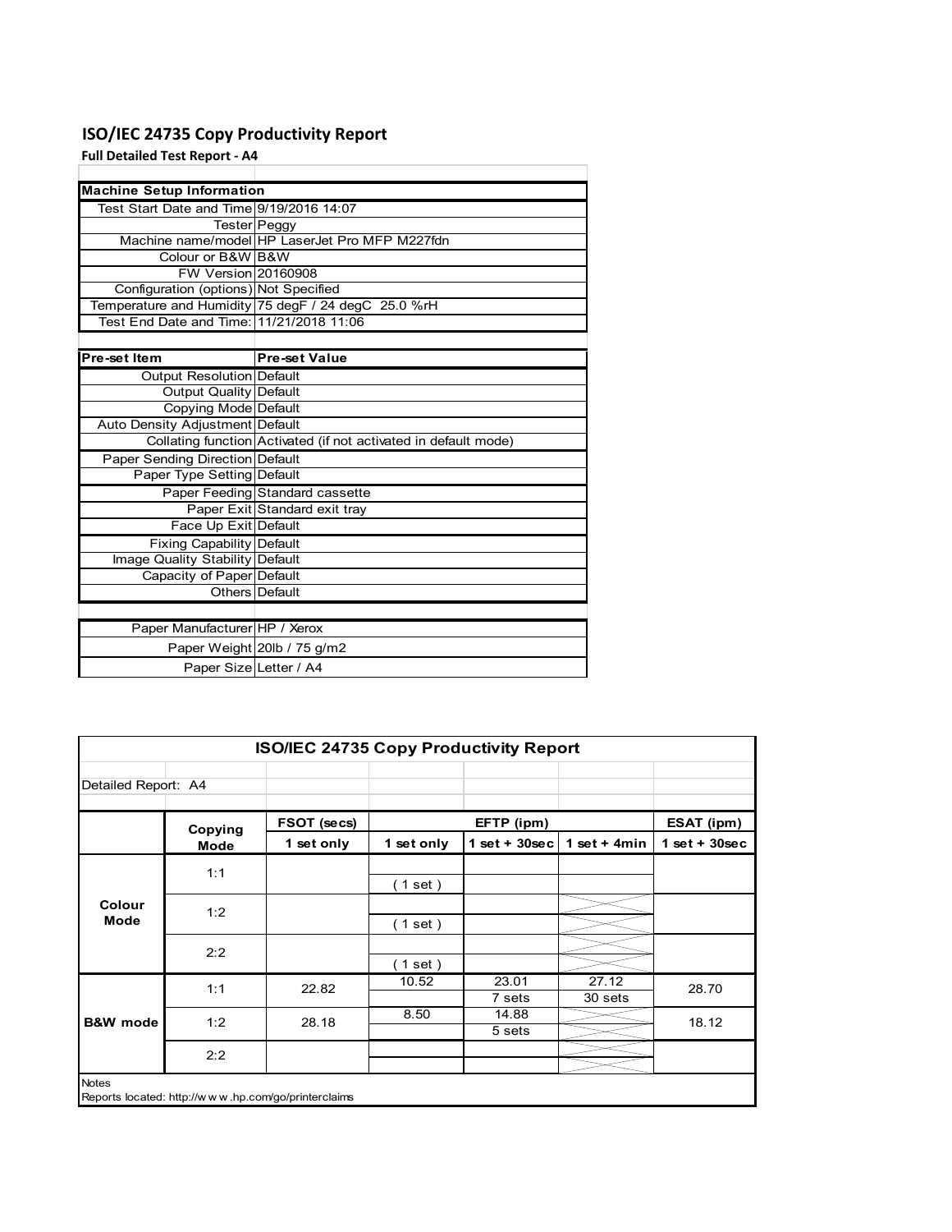## **ISO/IEC 24735 Copy Productivity Report**

**Full Detailed Test Report ‐ A4**

| <b>Machine Setup Information</b>         |                                                                 |
|------------------------------------------|-----------------------------------------------------------------|
| Test Start Date and Time 9/19/2016 14:07 |                                                                 |
|                                          | Tester Peggy                                                    |
|                                          | Machine name/model HP LaserJet Pro MFP M227fdn                  |
| Colour or B&W B&W                        |                                                                 |
| FW Version 20160908                      |                                                                 |
| Configuration (options) Not Specified    |                                                                 |
|                                          | Temperature and Humidity 75 degF / 24 degC 25.0 %rH             |
| Test End Date and Time: 11/21/2018 11:06 |                                                                 |
|                                          |                                                                 |
| Pre-set Item                             | <b>Pre-set Value</b>                                            |
| Output Resolution Default                |                                                                 |
| <b>Output Quality Default</b>            |                                                                 |
| Copying Mode Default                     |                                                                 |
| Auto Density Adjustment Default          |                                                                 |
|                                          | Collating function Activated (if not activated in default mode) |
| <b>Paper Sending Direction Default</b>   |                                                                 |
| Paper Type Setting Default               |                                                                 |
|                                          | Paper Feeding Standard cassette                                 |
|                                          | Paper Exit Standard exit tray                                   |
| Face Up Exit Default                     |                                                                 |
| <b>Fixing Capability Default</b>         |                                                                 |
| Image Quality Stability Default          |                                                                 |
| Capacity of Paper Default                |                                                                 |
|                                          | Others Default                                                  |
|                                          |                                                                 |
| Paper Manufacturer HP / Xerox            |                                                                 |
|                                          | Paper Weight 20lb / 75 g/m2                                     |
| Paper Size Letter / A4                   |                                                                 |

|                                                                     | <b>ISO/IEC 24735 Copy Productivity Report</b> |             |            |                 |                  |                 |  |  |
|---------------------------------------------------------------------|-----------------------------------------------|-------------|------------|-----------------|------------------|-----------------|--|--|
| Detailed Report: A4                                                 |                                               |             |            |                 |                  |                 |  |  |
|                                                                     | Copying                                       | FSOT (secs) |            | EFTP (ipm)      |                  | ESAT (ipm)      |  |  |
|                                                                     | <b>Mode</b>                                   | 1 set only  | 1 set only | $1$ set + 30sec | 1 set $+$ 4min   | $1$ set + 30sec |  |  |
|                                                                     | 1:1                                           |             | $1$ set)   |                 |                  |                 |  |  |
| Colour<br><b>Mode</b>                                               | 1:2                                           |             | (1 set)    |                 |                  |                 |  |  |
|                                                                     | 2:2                                           |             | $1$ set)   |                 |                  |                 |  |  |
|                                                                     | 1:1                                           | 22.82       | 10.52      | 23.01<br>7 sets | 27.12<br>30 sets | 28.70           |  |  |
| <b>B&amp;W</b> mode                                                 | 1:2                                           | 28.18       | 8.50       | 14.88<br>5 sets |                  | 18.12           |  |  |
|                                                                     | 2:2                                           |             |            |                 |                  |                 |  |  |
| <b>Notes</b><br>Reports located: http://www.hp.com/go/printerclaims |                                               |             |            |                 |                  |                 |  |  |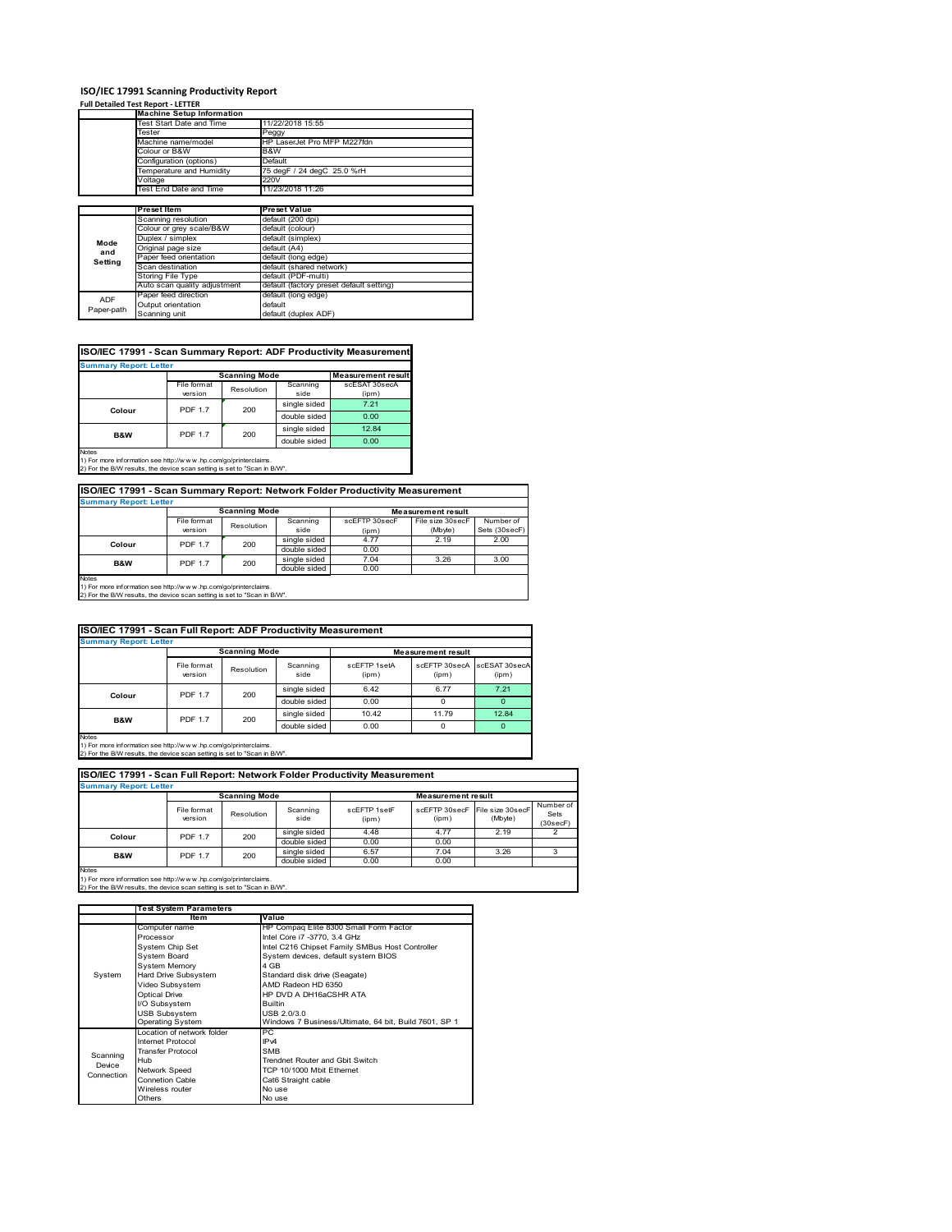### **ISO/IEC 17991 Scanning Productivity Report**

#### **Full Detailed Test Report ‐ LETTER**

|            | <b>Machine Setup Information</b> |                                          |  |  |  |
|------------|----------------------------------|------------------------------------------|--|--|--|
|            | Test Start Date and Time         | 11/22/2018 15:55                         |  |  |  |
|            | Tester                           | Peggy                                    |  |  |  |
|            | Machine name/model               | HP LaserJet Pro MFP M227fdn              |  |  |  |
|            | Colour or B&W                    | B&W                                      |  |  |  |
|            | Configuration (options)          | Default                                  |  |  |  |
|            | Temperature and Humidity         | 75 degF / 24 degC 25.0 %rH               |  |  |  |
|            | Voltage                          | 220V                                     |  |  |  |
|            | Test End Date and Time           | 11/23/2018 11:26                         |  |  |  |
|            |                                  |                                          |  |  |  |
|            | Preset Item                      | <b>Preset Value</b>                      |  |  |  |
|            | Scanning resolution              | default (200 dpi)                        |  |  |  |
|            | Colour or grey scale/B&W         | default (colour)                         |  |  |  |
| Mode       | Duplex / simplex                 | default (simplex)                        |  |  |  |
| and        | Original page size               | default (A4)                             |  |  |  |
| Setting    | Paper feed orientation           | default (long edge)                      |  |  |  |
|            | Scan destination                 | default (shared network)                 |  |  |  |
|            | Storing File Type                | default (PDF-multi)                      |  |  |  |
|            | Auto scan quality adjustment     | default (factory preset default setting) |  |  |  |
| <b>ADF</b> | Paper feed direction             | default (long edge)                      |  |  |  |
| Paper-path | Output orientation               | default                                  |  |  |  |
|            | Scanning unit                    | default (duplex ADF)                     |  |  |  |

| ISO/IEC 17991 - Scan Summary Report: ADF Productivity Measurement |  |  |
|-------------------------------------------------------------------|--|--|

| <b>Summary Report: Letter</b> |                |                      |              |                           |  |  |
|-------------------------------|----------------|----------------------|--------------|---------------------------|--|--|
|                               |                | <b>Scanning Mode</b> |              | <b>Measurement result</b> |  |  |
|                               | File format    | Resolution           | Scanning     | scESAT 30secA             |  |  |
|                               | version        |                      | side         | (ipm)                     |  |  |
| Colour                        | <b>PDF 1.7</b> | 200                  | single sided | 7.21                      |  |  |
|                               |                |                      | double sided | 0.00                      |  |  |
| <b>B&amp;W</b>                | <b>PDF 1.7</b> | 200                  | single sided | 12.84                     |  |  |
|                               |                |                      | double sided | 0.00                      |  |  |
| <b>Notes</b>                  |                |                      |              |                           |  |  |

Notes 1) For more information see http://w w w .hp.com/go/printerclaims. 2) For the B/W results, the device scan setting is set to "Scan in B/W".

| ISO/IEC 17991 - Scan Summary Report: Network Folder Productivity Measurement |
|------------------------------------------------------------------------------|
|------------------------------------------------------------------------------|

| <b>Summary Report: Letter</b>                                            |                          |                      |              |                           |                  |               |  |
|--------------------------------------------------------------------------|--------------------------|----------------------|--------------|---------------------------|------------------|---------------|--|
|                                                                          |                          | <b>Scanning Mode</b> |              | <b>Measurement result</b> |                  |               |  |
|                                                                          | File format              | Resolution           | Scanning     | scEFTP 30secF             | File size 30secF | Number of     |  |
|                                                                          | version                  |                      | side         | (ipm)                     | (Mbyte)          | Sets (30secF) |  |
|                                                                          | <b>PDF 1.7</b><br>Colour | 200                  | single sided | 4.77                      | 2.19             | 2.00          |  |
|                                                                          |                          |                      | double sided | 0.00                      |                  |               |  |
| B&W                                                                      | <b>PDF 1.7</b>           | 200                  | single sided | 7.04                      | 3.26             | 3.00          |  |
|                                                                          |                          |                      | double sided | 0.00                      |                  |               |  |
| <b>Notes</b>                                                             |                          |                      |              |                           |                  |               |  |
| 1) For more information see http://www.hp.com/go/printerclaims.          |                          |                      |              |                           |                  |               |  |
| 2) For the B/W results, the device scan setting is set to "Scan in B/W". |                          |                      |              |                           |                  |               |  |

| ISO/IEC 17991 - Scan Full Report: ADF Productivity Measurement |                        |                      |                  |                       |                           |                        |
|----------------------------------------------------------------|------------------------|----------------------|------------------|-----------------------|---------------------------|------------------------|
| <b>Summary Report: Letter</b>                                  |                        |                      |                  |                       |                           |                        |
|                                                                |                        | <b>Scanning Mode</b> |                  |                       | <b>Measurement result</b> |                        |
|                                                                | File format<br>version | Resolution           | Scanning<br>side | scFFTP 1setA<br>(ipm) | scEFTP 30secA<br>(ipm)    | scESAT 30secA<br>(ipm) |
| Colour<br><b>PDF 1.7</b>                                       |                        | 200                  | single sided     | 6.42                  | 6.77                      | 7.21                   |
|                                                                |                        |                      | double sided     | 0.00                  | 0                         | $\Omega$               |
| B&W                                                            | <b>PDF 1.7</b>         | 200                  | single sided     | 10.42                 | 11.79                     | 12.84                  |
|                                                                |                        |                      | double sided     | 0.00                  | U                         | 0                      |
| $1 - 4 - -$                                                    |                        |                      |                  |                       |                           |                        |

Notes 1) For more information see http://w w w .hp.com/go/printerclaims. 2) For the B/W results, the device scan setting is set to "Scan in B/W".

| ISO/IEC 17991 - Scan Full Report: Network Folder Productivity Measurement |                        |            |                  |                       |                        |                              |                               |
|---------------------------------------------------------------------------|------------------------|------------|------------------|-----------------------|------------------------|------------------------------|-------------------------------|
| <b>Summary Report: Letter</b>                                             |                        |            |                  |                       |                        |                              |                               |
| <b>Scanning Mode</b><br><b>Measurement result</b>                         |                        |            |                  |                       |                        |                              |                               |
|                                                                           | File format<br>version | Resolution | Scanning<br>side | scFFTP 1setF<br>(ipm) | scEFTP 30secF<br>(ipm) | File size 30 secF<br>(Mbyte) | Number of<br>Sets<br>(30secF) |
| Colour                                                                    | <b>PDF 1.7</b>         | 200        | single sided     | 4.48                  | 4.77                   | 2.19                         |                               |
|                                                                           |                        |            | double sided     | 0.00                  | 0.00                   |                              |                               |
| B&W                                                                       | <b>PDF 1.7</b>         | 200        | single sided     | 6.57                  | 7.04                   | 3.26                         |                               |
|                                                                           |                        |            | double sided     | 0.00                  | 0.00                   |                              |                               |
| <b>Notes</b>                                                              |                        |            |                  |                       |                        |                              |                               |

Notes 1) For more information see http://w w w .hp.com/go/printerclaims. 2) For the B/W results, the device scan setting is set to "Scan in B/W".

|                                  | <b>Test System Parameters</b> |                                                       |  |  |
|----------------------------------|-------------------------------|-------------------------------------------------------|--|--|
|                                  | ltem                          | Value                                                 |  |  |
|                                  | Computer name                 | HP Compaq Elite 8300 Small Form Factor                |  |  |
|                                  | Processor                     | Intel Core i7 -3770, 3.4 GHz                          |  |  |
|                                  | System Chip Set               | Intel C216 Chipset Family SMBus Host Controller       |  |  |
|                                  | <b>System Board</b>           | System devices, default system BIOS                   |  |  |
|                                  | <b>System Memory</b>          | 4 GB                                                  |  |  |
| System                           | Hard Drive Subsystem          | Standard disk drive (Seagate)                         |  |  |
|                                  | Video Subsystem               | AMD Radeon HD 6350                                    |  |  |
|                                  | Optical Drive                 | HP DVD A DH16aCSHR ATA                                |  |  |
|                                  | I/O Subsystem                 | <b>Builtin</b>                                        |  |  |
|                                  | <b>USB Subsystem</b>          | USB 2.0/3.0                                           |  |  |
|                                  | <b>Operating System</b>       | Windows 7 Business/Ultimate, 64 bit, Build 7601, SP 1 |  |  |
|                                  | I ocation of network folder   | PС                                                    |  |  |
|                                  | Internet Protocol             | IP <sub>v4</sub>                                      |  |  |
|                                  | <b>Transfer Protocol</b>      | <b>SMB</b>                                            |  |  |
| Scanning<br>Device<br>Connection | Hub                           | Trendnet Router and Gbit Switch                       |  |  |
|                                  | Network Speed                 | TCP 10/1000 Mbit Ethernet                             |  |  |
|                                  | <b>Connetion Cable</b>        | Cat6 Straight cable                                   |  |  |
|                                  | Wireless router               | No use                                                |  |  |
|                                  | Others                        | No use                                                |  |  |